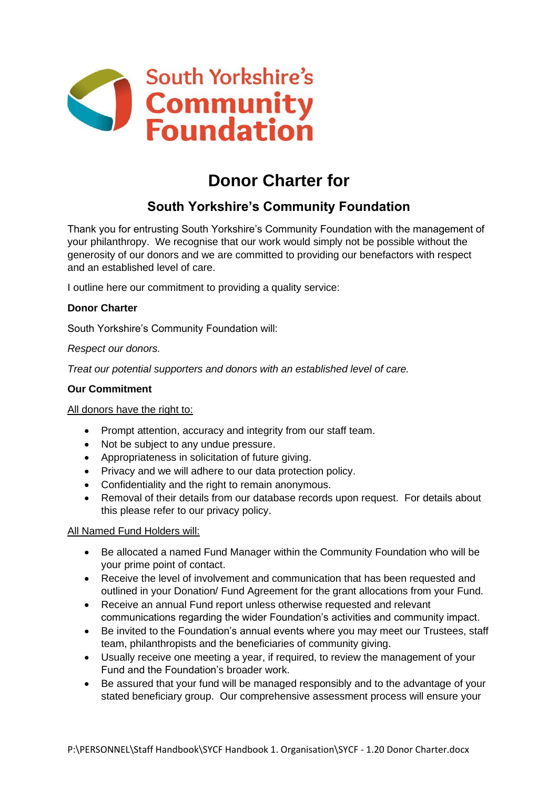

# **Donor Charter for**

## **South Yorkshire's Community Foundation**

Thank you for entrusting South Yorkshire's Community Foundation with the management of your philanthropy. We recognise that our work would simply not be possible without the generosity of our donors and we are committed to providing our benefactors with respect and an established level of care.

I outline here our commitment to providing a quality service:

### **Donor Charter**

South Yorkshire's Community Foundation will:

#### *Respect our donors.*

*Treat our potential supporters and donors with an established level of care.*

#### **Our Commitment**

#### All donors have the right to:

- Prompt attention, accuracy and integrity from our staff team.
- Not be subject to any undue pressure.
- Appropriateness in solicitation of future giving.
- Privacy and we will adhere to our data protection policy.
- Confidentiality and the right to remain anonymous.
- Removal of their details from our database records upon request. For details about this please refer to our privacy policy.

#### All Named Fund Holders will:

- Be allocated a named Fund Manager within the Community Foundation who will be your prime point of contact.
- Receive the level of involvement and communication that has been requested and outlined in your Donation/ Fund Agreement for the grant allocations from your Fund.
- Receive an annual Fund report unless otherwise requested and relevant communications regarding the wider Foundation's activities and community impact.
- Be invited to the Foundation's annual events where you may meet our Trustees, staff team, philanthropists and the beneficiaries of community giving.
- Usually receive one meeting a year, if required, to review the management of your Fund and the Foundation's broader work.
- Be assured that your fund will be managed responsibly and to the advantage of your stated beneficiary group. Our comprehensive assessment process will ensure your